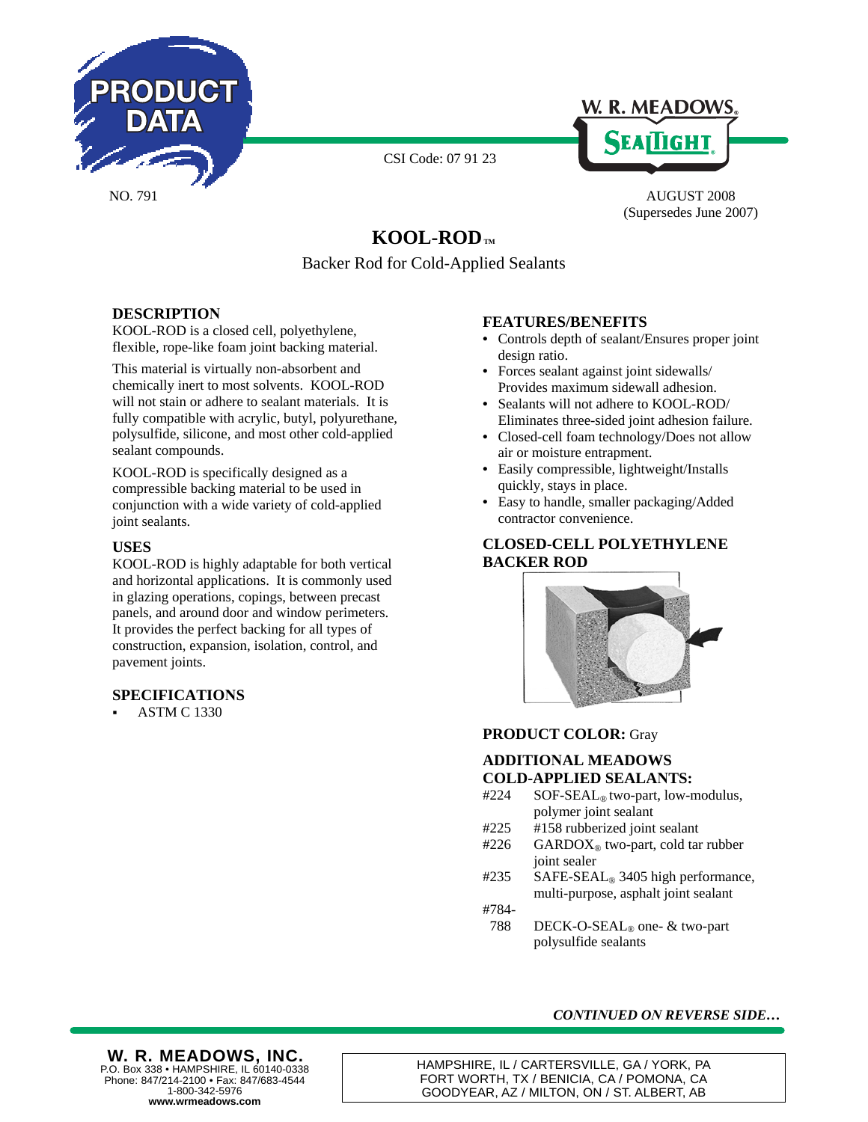



(Supersedes June 2007)

# **KOOL-ROD**

CSI Code: 07 91 23

Backer Rod for Cold-Applied Sealants

# **DESCRIPTIO1**

KOOL-ROD is a closed cell, polyethylene, flexible, rope-like foam joint backing material.

This material is virtually non-absorbent and chemically inert to most solvents. KOOL-ROD will not stain or adhere to sealant materials. It is fully compatible with acrylic, butyl, polyurethane, polysulfide, silicone, and most other cold-applied sealant compounds.

KOOL-ROD is specifically designed as a compressible backing material to be used in conjunction with a wide variety of cold-applied joint sealants.

### **USES**

KOOL-ROD is highly adaptable for both vertical and horizontal applications. It is commonly used in glazing operations, copings, between precast panels, and around door and window perimeters. It provides the perfect backing for all types of construction, expansion, isolation, control, and pavement joints.

# **SPECIFICATIO1S**

ASTM C 1330

### **FEATURES/BE1EFITS**

- Controls depth of sealant/Ensures proper joint design ratio.
- Forces sealant against joint sidewalls/ Provides maximum sidewall adhesion.
- Sealants will not adhere to KOOL-ROD/ Eliminates three-sided joint adhesion failure.
- Closed-cell foam technology/Does not allow air or moisture entrapment.
- Easily compressible, lightweight/Installs quickly, stays in place.
- Easy to handle, smaller packaging/Added contractor convenience.

# **CLOSED-CELL POLYETHYLE1E BACKER ROD**



#### **PRODUCT COLOR:** Gray

### **ADDITIO1AL MEADOWS COLD-APPLIED SEALA1TS:**

- #224 SOF-SEAL® two-part, low-modulus, polymer joint sealant
- #225 #158 rubberized joint sealant
- #226 GARDOX<sup>®</sup> two-part, cold tar rubber joint sealer
- #235 SAFE-SEAL® 3405 high performance, multi-purpose, asphalt joint sealant

#784-

788 DECK-O-SEAL® one- & two-part polysulfide sealants

# *CO1TI1UED O1 REVERSE SIDE…*

**W. R. MEADOWS, INC. www.wrmeadows.com** P.O. Box 338 • HAMPSHIRE, IL 60140-0338 Phone: 847/214-2100 • Fax: 847/683-4544 1-800-342-5976

HAMPSHIRE, IL / CARTERSVILLE, GA / YORK, PA FORT WORTH, TX / BENICIA, CA / POMONA, CA GOODYEAR, AZ / MILTON, ON / ST. ALBERT, AB